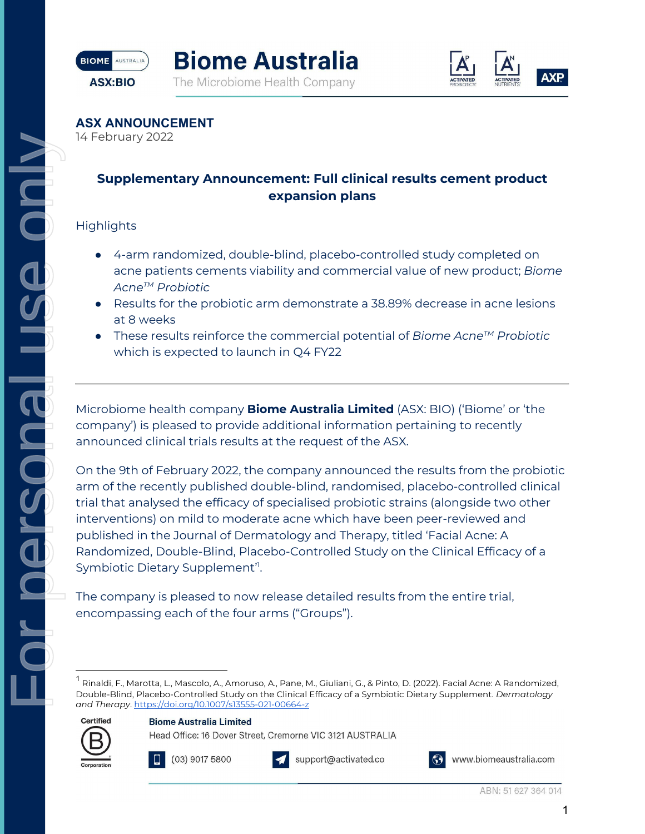





**ASX ANNOUNCEMENT**

14 February 2022

# **Supplementary Announcement: Full clinical results cement product expansion plans**

### **Highlights**

 $\overline{a}$ 

 $\frac{1}{\sigma}$ 

r nersnar

- 4-arm randomized, double-blind, placebo-controlled study completed on acne patients cements viability and commercial value of new product; *Biome AcneTM Probiotic*
- Results for the probiotic arm demonstrate a 38.89% decrease in acne lesions at 8 weeks
- These results reinforce the commercial potential of *Biome AcneTM Probiotic*  which is expected to launch in Q4 FY22

Microbiome health company **Biome Australia Limited** (ASX: BIO) ('Biome' or 'the company') is pleased to provide additional information pertaining to recently announced clinical trials results at the request of the ASX.

On the 9th of February 2022, the company announced the results from the probiotic arm of the recently published double-blind, randomised, placebo-controlled clinical trial that analysed the efficacy of specialised probiotic strains (alongside two other interventions) on mild to moderate acne which have been peer-reviewed and published in the Journal of Dermatology and Therapy, titled 'Facial Acne: A Randomized, Double-Blind, Placebo-Controlled Study on the Clinical Efficacy of a Symbiotic Dietary Supplement'<sup>1</sup>. For personal use only

The company is pleased to now release detailed results from the entire trial, encompassing each of the four arms ("Groups").

<sup>&</sup>lt;sup>1</sup> Rinaldi, F., Marotta, L., Mascolo, A., Amoruso, A., Pane, M., Giuliani, G., & Pinto, D. (2022). Facial Acne: A Randomized, Double-Blind, Placebo-Controlled Study on the Clinical Efficacy of a Symbiotic Dietary Supplement. *Dermatology and Therapy*. https://doi.org/10.1007/s13555-021-00664-z



**Biome Australia Limited** 

Head Office: 16 Dover Street, Cremorne VIC 3121 AUSTRALIA



(03) 9017 5800



support@activated.co

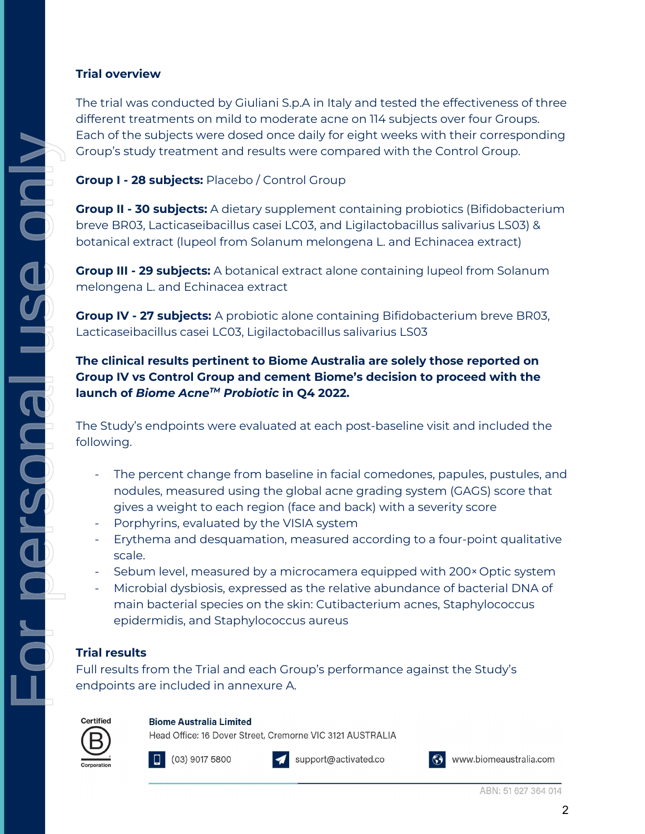#### **Trial overview**

The trial was conducted by Giuliani S.p.A in Italy and tested the effectiveness of three different treatments on mild to moderate acne on 114 subjects over four Groups. Each of the subjects were dosed once daily for eight weeks with their corresponding Group's study treatment and results were compared with the Control Group.

**Group I - 28 subjects:** Placebo / Control Group

**Group II - 30 subjects:** A dietary supplement containing probiotics (Bifidobacterium breve BR03, Lacticaseibacillus casei LC03, and Ligilactobacillus salivarius LS03) & botanical extract (lupeol from Solanum melongena L. and Echinacea extract)

**Group III - 29 subjects:** A botanical extract alone containing lupeol from Solanum melongena L. and Echinacea extract

**Group IV - 27 subjects:** A probiotic alone containing Bifidobacterium breve BR03, Lacticaseibacillus casei LC03, Ligilactobacillus salivarius LS03

# **The clinical results pertinent to Biome Australia are solely those reported on Group IV vs Control Group and cement Biome's decision to proceed with the launch of** *Biome AcneTM Probiotic* **in Q4 2022.**

The Study's endpoints were evaluated at each post-baseline visit and included the following.

- The percent change from baseline in facial comedones, papules, pustules, and nodules, measured using the global acne grading system (GAGS) score that gives a weight to each region (face and back) with a severity score
- Porphyrins, evaluated by the VISIA system
- Erythema and desquamation, measured according to a four-point qualitative scale.
- Sebum level, measured by a microcamera equipped with 200× Optic system
- Microbial dysbiosis, expressed as the relative abundance of bacterial DNA of main bacterial species on the skin: Cutibacterium acnes, Staphylococcus epidermidis, and Staphylococcus aureus

# **Trial results**

Full results from the Trial and each Group's performance against the Study's endpoints are included in annexure A.



#### **Biome Australia Limited**

Head Office: 16 Dover Street, Cremorne VIC 3121 AUSTRALIA



 $(03)$  9017 5800



support@activated.co

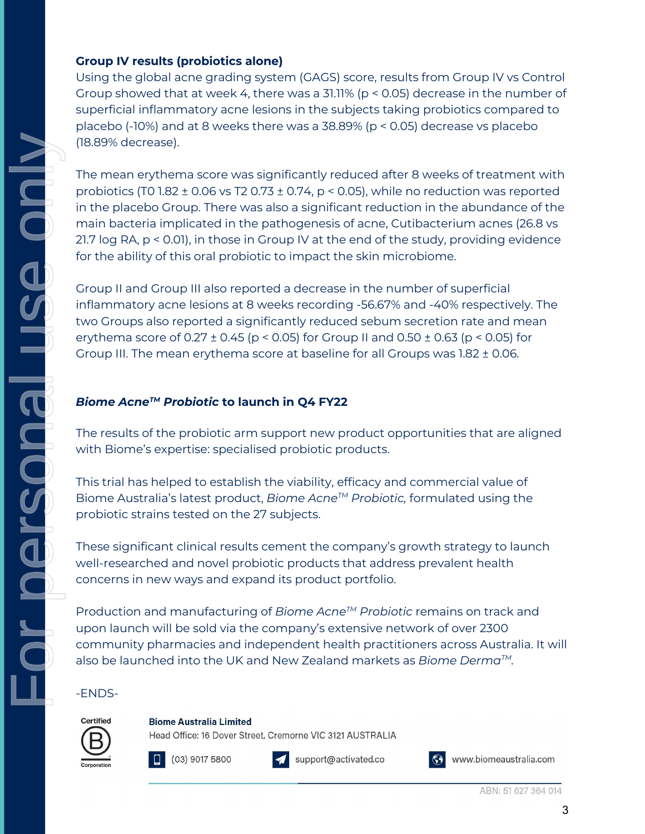#### **Group IV results (probiotics alone)**

Using the global acne grading system (GAGS) score, results from Group IV vs Control Group showed that at week 4, there was a 31.11% (p < 0.05) decrease in the number of superficial inflammatory acne lesions in the subjects taking probiotics compared to placebo (-10%) and at 8 weeks there was a 38.89% (p < 0.05) decrease vs placebo (18.89% decrease).

The mean erythema score was significantly reduced after 8 weeks of treatment with probiotics (T0 1.82  $\pm$  0.06 vs T2 0.73  $\pm$  0.74, p < 0.05), while no reduction was reported in the placebo Group. There was also a significant reduction in the abundance of the main bacteria implicated in the pathogenesis of acne, Cutibacterium acnes (26.8 vs 21.7 log RA, p < 0.01), in those in Group IV at the end of the study, providing evidence for the ability of this oral probiotic to impact the skin microbiome. For personal use only

Group II and Group III also reported a decrease in the number of superficial inflammatory acne lesions at 8 weeks recording -56.67% and -40% respectively. The two Groups also reported a significantly reduced sebum secretion rate and mean erythema score of  $0.27 \pm 0.45$  (p < 0.05) for Group II and  $0.50 \pm 0.63$  (p < 0.05) for Group III. The mean erythema score at baseline for all Groups was 1.82 ± 0.06.

# *Biome AcneTM Probiotic* **to launch in Q4 FY22**

The results of the probiotic arm support new product opportunities that are aligned with Biome's expertise: specialised probiotic products.

This trial has helped to establish the viability, efficacy and commercial value of Biome Australia's latest product, *Biome AcneTM Probiotic,* formulated using the probiotic strains tested on the 27 subjects.

These significant clinical results cement the company's growth strategy to launch well-researched and novel probiotic products that address prevalent health concerns in new ways and expand its product portfolio.

Production and manufacturing of *Biome AcneTM Probiotic* remains on track and upon launch will be sold via the company's extensive network of over 2300 community pharmacies and independent health practitioners across Australia. It will also be launched into the UK and New Zealand markets as *Biome DermaTM.*

### -ENDS-

a<br>Or

I RADSTEN



**Biome Australia Limited** 

Head Office: 16 Dover Street, Cremorne VIC 3121 AUSTRALIA





support@activated.co

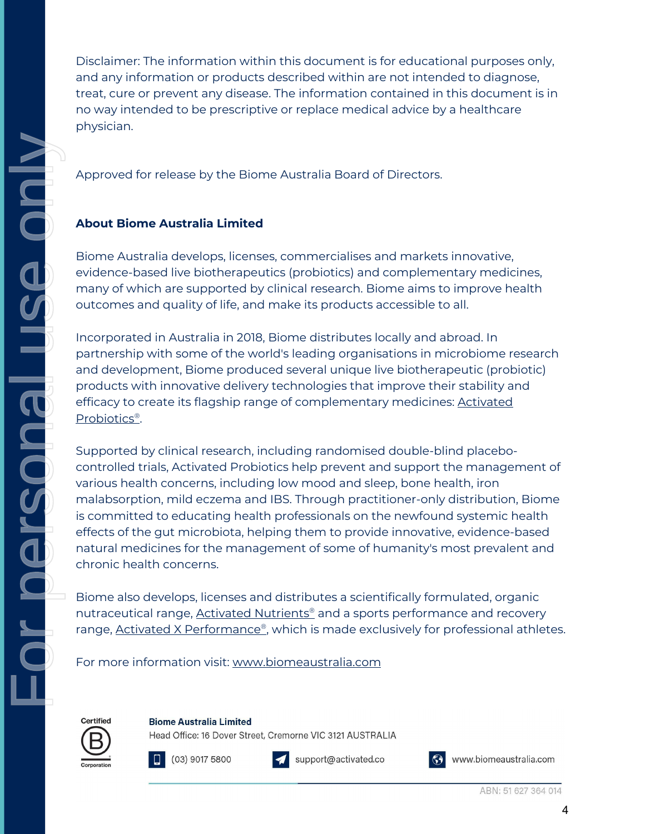Disclaimer: The information within this document is for educational purposes only, and any information or products described within are not intended to diagnose, treat, cure or prevent any disease. The information contained in this document is in no way intended to be prescriptive or replace medical advice by a healthcare physician.

Approved for release by the Biome Australia Board of Directors.

# **About Biome Australia Limited**

Biome Australia develops, licenses, commercialises and markets innovative, evidence-based live biotherapeutics (probiotics) and complementary medicines, many of which are supported by clinical research. Biome aims to improve health outcomes and quality of life, and make its products accessible to all.

Incorporated in Australia in 2018, Biome distributes locally and abroad. In partnership with some of the world's leading organisations in microbiome research and development, Biome produced several unique live biotherapeutic (probiotic) products with innovative delivery technologies that improve their stability and efficacy to create its flagship range of complementary medicines: Activated Probiotics®.

Supported by clinical research, including randomised double-blind placebocontrolled trials, Activated Probiotics help prevent and support the management of various health concerns, including low mood and sleep, bone health, iron malabsorption, mild eczema and IBS. Through practitioner-only distribution, Biome is committed to educating health professionals on the newfound systemic health effects of the gut microbiota, helping them to provide innovative, evidence-based natural medicines for the management of some of humanity's most prevalent and chronic health concerns.

Biome also develops, licenses and distributes a scientifically formulated, organic nutraceutical range, Activated Nutrients<sup>®</sup> and a sports performance and recovery range, **Activated X Performance**®, which is made exclusively for professional athletes.

For more information visit: www.biomeaustralia.com



**Biome Australia Limited** 

Head Office: 16 Dover Street, Cremorne VIC 3121 AUSTRALIA





support@activated.co

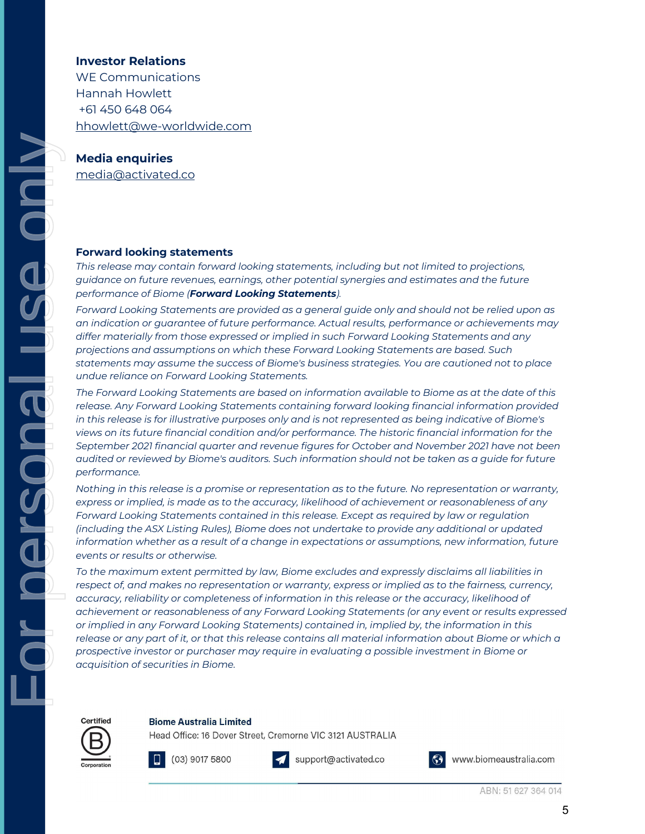#### **Investor Relations**

WE Communications Hannah Howlett +61 450 648 064 hhowlett@we-worldwide.com

## **Media enquiries**

media@activated.co

#### **Forward looking statements**

*This release may contain forward looking statements, including but not limited to projections, guidance on future revenues, earnings, other potential synergies and estimates and the future performance of Biome (Forward Looking Statements).*

*Forward Looking Statements are provided as a general guide only and should not be relied upon as an indication or guarantee of future performance. Actual results, performance or achievements may differ materially from those expressed or implied in such Forward Looking Statements and any projections and assumptions on which these Forward Looking Statements are based. Such statements may assume the success of Biome's business strategies. You are cautioned not to place undue reliance on Forward Looking Statements.* 

*The Forward Looking Statements are based on information available to Biome as at the date of this release. Any Forward Looking Statements containing forward looking financial information provided in this release is for illustrative purposes only and is not represented as being indicative of Biome's views on its future financial condition and/or performance. The historic financial information for the September 2021 financial quarter and revenue figures for October and November 2021 have not been audited or reviewed by Biome's auditors. Such information should not be taken as a guide for future performance.*

*Nothing in this release is a promise or representation as to the future. No representation or warranty, express or implied, is made as to the accuracy, likelihood of achievement or reasonableness of any Forward Looking Statements contained in this release. Except as required by law or regulation (including the ASX Listing Rules), Biome does not undertake to provide any additional or updated information whether as a result of a change in expectations or assumptions, new information, future events or results or otherwise.*

*To the maximum extent permitted by law, Biome excludes and expressly disclaims all liabilities in*  respect of, and makes no representation or warranty, express or implied as to the fairness, currency, *accuracy, reliability or completeness of information in this release or the accuracy, likelihood of achievement or reasonableness of any Forward Looking Statements (or any event or results expressed or implied in any Forward Looking Statements) contained in, implied by, the information in this release or any part of it, or that this release contains all material information about Biome or which a prospective investor or purchaser may require in evaluating a possible investment in Biome or acquisition of securities in Biome.* 

**Biome Australia Limited** 



Certified

For personal use only

 $(03)$  9017 5800



Head Office: 16 Dover Street, Cremorne VIC 3121 AUSTRALIA

support@activated.co

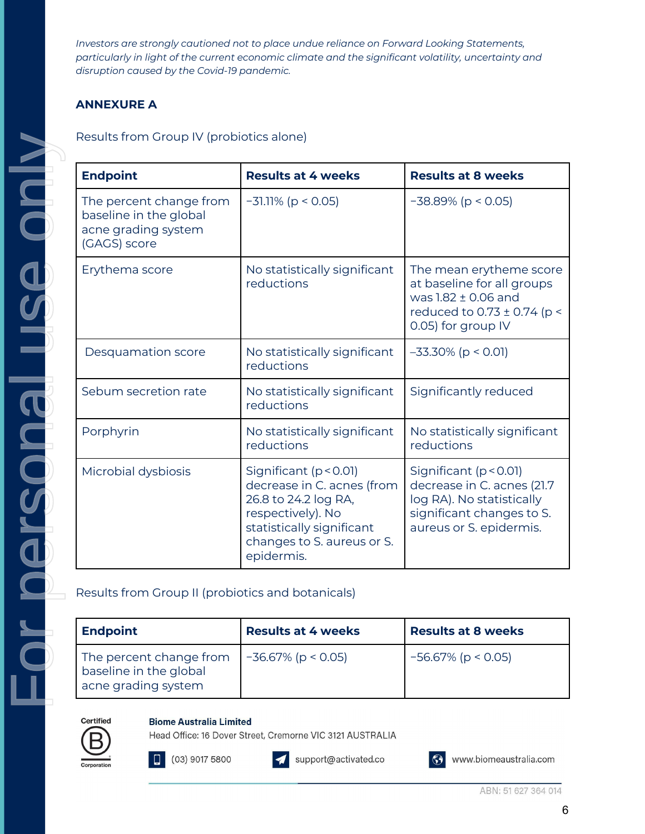*Investors are strongly cautioned not to place undue reliance on Forward Looking Statements, particularly in light of the current economic climate and the significant volatility, uncertainty and disruption caused by the Covid-19 pandemic.* 

# **ANNEXURE A**

Results from Group IV (probiotics alone)

| <b>Endpoint</b>                                                                          | <b>Results at 4 weeks</b>                                                                                                                                                      | <b>Results at 8 weeks</b>                                                                                                                     |
|------------------------------------------------------------------------------------------|--------------------------------------------------------------------------------------------------------------------------------------------------------------------------------|-----------------------------------------------------------------------------------------------------------------------------------------------|
| The percent change from<br>baseline in the global<br>acne grading system<br>(GAGS) score | $-31.11\%$ (p < 0.05)                                                                                                                                                          | $-38.89\%$ (p < 0.05)                                                                                                                         |
| Erythema score                                                                           | No statistically significant<br>reductions                                                                                                                                     | The mean erytheme score<br>at baseline for all groups<br>was 1.82 ± 0.06 and<br>reduced to 0.73 ± 0.74 (p <<br>0.05) for group IV             |
| Desquamation score                                                                       | No statistically significant<br>reductions                                                                                                                                     | $-33.30\%$ (p < 0.01)                                                                                                                         |
| Sebum secretion rate                                                                     | No statistically significant<br>reductions                                                                                                                                     | Significantly reduced                                                                                                                         |
| Porphyrin                                                                                | No statistically significant<br>reductions                                                                                                                                     | No statistically significant<br>reductions                                                                                                    |
| Microbial dysbiosis                                                                      | Significant ( $p < 0.01$ )<br>decrease in C. acnes (from<br>26.8 to 24.2 log RA,<br>respectively). No<br>statistically significant<br>changes to S. aureus or S.<br>epidermis. | Significant ( $p < 0.01$ )<br>decrease in C. acnes (21.7<br>log RA). No statistically<br>significant changes to S.<br>aureus or S. epidermis. |

Results from Group II (probiotics and botanicals)

| <b>Endpoint</b>                                                          | <b>Results at 4 weeks</b> | <b>Results at 8 weeks</b> |
|--------------------------------------------------------------------------|---------------------------|---------------------------|
| The percent change from<br>baseline in the global<br>acne grading system | $-36.67\%$ (p < 0.05)     | $-56.67\%$ (p < 0.05)     |



For personal use only

an bersonen

**Sepond** 

**Biome Australia Limited** 

Head Office: 16 Dover Street, Cremorne VIC 3121 AUSTRALIA



support@activated.co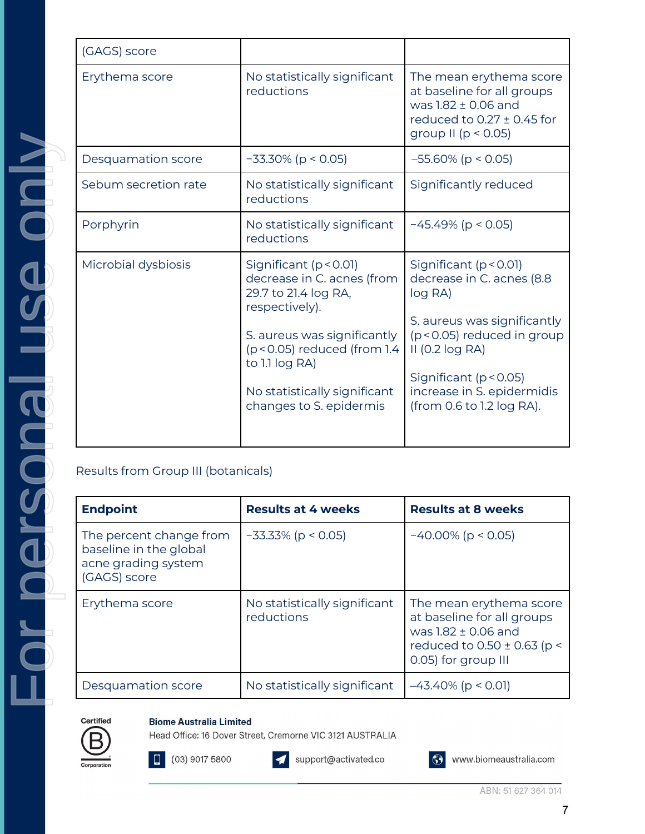| (GAGS) score                                                  |
|---------------------------------------------------------------|
| Erythema sco                                                  |
|                                                               |
| Desquamatio                                                   |
| Sebum secre                                                   |
| Porphyrin                                                     |
| Microbial dys                                                 |
|                                                               |
| Results from O                                                |
| <b>Endpoint</b>                                               |
|                                                               |
| The percent<br>baseline in th<br>acne grading<br>(GAGS) score |
| Erythema sco                                                  |
|                                                               |
| Desquamatio                                                   |

| (GAGS) score         |                                                                                                                                                                                                                                               |                                                                                                                                                                                                                                            |
|----------------------|-----------------------------------------------------------------------------------------------------------------------------------------------------------------------------------------------------------------------------------------------|--------------------------------------------------------------------------------------------------------------------------------------------------------------------------------------------------------------------------------------------|
| Erythema score       | No statistically significant<br>reductions                                                                                                                                                                                                    | The mean erythema score<br>at baseline for all groups<br>was 1.82 ± 0.06 and<br>reduced to $0.27 \pm 0.45$ for<br>group II ( $p < 0.05$ )                                                                                                  |
| Desquamation score   | $-33.30\%$ (p < 0.05)                                                                                                                                                                                                                         | $-55.60\%$ (p < 0.05)                                                                                                                                                                                                                      |
| Sebum secretion rate | No statistically significant<br>reductions                                                                                                                                                                                                    | Significantly reduced                                                                                                                                                                                                                      |
| Porphyrin            | No statistically significant<br>reductions                                                                                                                                                                                                    | $-45.49\%$ (p < 0.05)                                                                                                                                                                                                                      |
| Microbial dysbiosis  | Significant (p < 0.01)<br>decrease in C. acnes (from<br>29.7 to 21.4 log RA,<br>respectively).<br>S. aureus was significantly<br>$(p < 0.05)$ reduced (from 1.4)<br>to 1.1 log RA)<br>No statistically significant<br>changes to S. epidermis | Significant ( $p < 0.01$ )<br>decrease in C. acnes (8.8<br>log RA)<br>S. aureus was significantly<br>(p < 0.05) reduced in group<br>$II$ (0.2 log RA)<br>Significant (p < 0.05)<br>increase in S. epidermidis<br>(from 0.6 to 1.2 log RA). |

## Group III (botanicals)

| <b>Endpoint</b>                                                                          | <b>Results at 4 weeks</b>                  | <b>Results at 8 weeks</b>                                                                                                              |
|------------------------------------------------------------------------------------------|--------------------------------------------|----------------------------------------------------------------------------------------------------------------------------------------|
| The percent change from<br>baseline in the global<br>acne grading system<br>(GAGS) score | $-33.33\%$ (p < 0.05)                      | $-40.00\%$ (p < 0.05)                                                                                                                  |
| Erythema score                                                                           | No statistically significant<br>reductions | The mean erythema score<br>at baseline for all groups<br>was 1.82 ± 0.06 and<br>reduced to $0.50 \pm 0.63$ (p <<br>0.05) for group III |
| Desquamation score                                                                       | No statistically significant               | $-43.40\%$ (p < 0.01)                                                                                                                  |

# **Biome Australia Limited**

Head Office: 16 Dover Street, Cremorne VIC 3121 AUSTRALIA



03) 9017 5800



support@activated.co